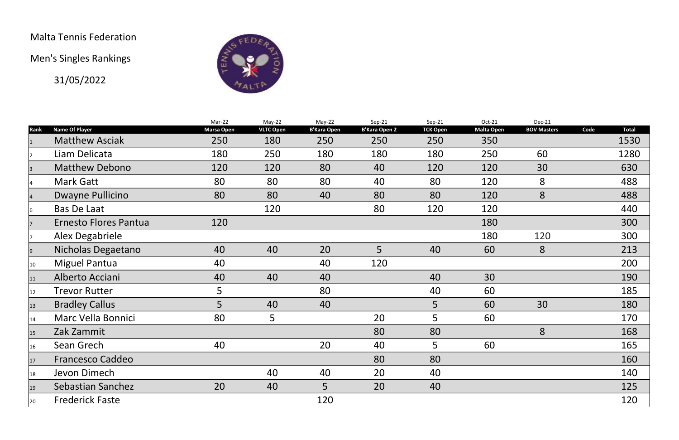## Malta Tennis Federation

Men's Singles Rankings

31/05/2022



|              |                              | Mar-22            | May-22           | May-22             | Sep-21               | $Sep-21$        | Oct-21            | Dec-21             |      |              |
|--------------|------------------------------|-------------------|------------------|--------------------|----------------------|-----------------|-------------------|--------------------|------|--------------|
| Rank         | <b>Name Of Player</b>        | <b>Marsa Open</b> | <b>VLTC Open</b> | <b>B'Kara Open</b> | <b>B'Kara Open 2</b> | <b>TCK Open</b> | <b>Malta Open</b> | <b>BOV Masters</b> | Code | <b>Total</b> |
|              | <b>Matthew Asciak</b>        | 250               | 180              | 250                | 250                  | 250             | 350               |                    |      | 1530         |
|              | Liam Delicata                | 180               | 250              | 180                | 180                  | 180             | 250               | 60                 |      | 1280         |
| 3            | <b>Matthew Debono</b>        | 120               | 120              | 80                 | 40                   | 120             | 120               | 30                 |      | 630          |
|              | <b>Mark Gatt</b>             | 80                | 80               | 80                 | 40                   | 80              | 120               | 8                  |      | 488          |
|              | Dwayne Pullicino             | 80                | 80               | 40                 | 80                   | 80              | 120               | 8                  |      | 488          |
| 16.          | <b>Bas De Laat</b>           |                   | 120              |                    | 80                   | 120             | 120               |                    |      | 440          |
|              | <b>Ernesto Flores Pantua</b> | 120               |                  |                    |                      |                 | 180               |                    |      | 300          |
|              | <b>Alex Degabriele</b>       |                   |                  |                    |                      |                 | 180               | 120                |      | 300          |
| 9            | Nicholas Degaetano           | 40                | 40               | 20                 | 5                    | 40              | 60                | 8                  |      | 213          |
| 10           | <b>Miguel Pantua</b>         | 40                |                  | 40                 | 120                  |                 |                   |                    |      | 200          |
| 11           | Alberto Acciani              | 40                | 40               | 40                 |                      | 40              | 30                |                    |      | 190          |
| 12           | <b>Trevor Rutter</b>         | 5                 |                  | 80                 |                      | 40              | 60                |                    |      | 185          |
| $ 13\rangle$ | <b>Bradley Callus</b>        | 5                 | 40               | 40                 |                      | 5               | 60                | 30                 |      | 180          |
| 14           | <b>Marc Vella Bonnici</b>    | 80                | 5                |                    | 20                   | 5               | 60                |                    |      | 170          |
| 15           | Zak Zammit                   |                   |                  |                    | 80                   | 80              |                   | 8                  |      | 168          |
| 16           | Sean Grech                   | 40                |                  | 20                 | 40                   | 5               | 60                |                    |      | 165          |
| 17           | <b>Francesco Caddeo</b>      |                   |                  |                    | 80                   | 80              |                   |                    |      | 160          |
| 18           | Jevon Dimech                 |                   | 40               | 40                 | 20                   | 40              |                   |                    |      | 140          |
| 19           | <b>Sebastian Sanchez</b>     | 20                | 40               | 5                  | 20                   | 40              |                   |                    |      | 125          |
| 20           | <b>Frederick Faste</b>       |                   |                  | 120                |                      |                 |                   |                    |      | 120          |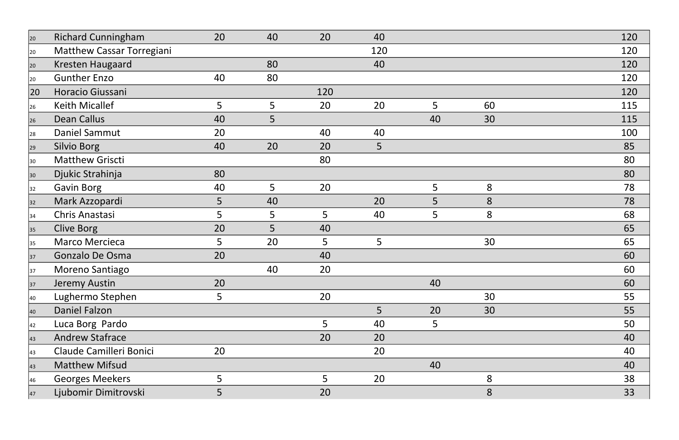| 20           | <b>Richard Cunningham</b>        | 20 | 40 | 20             | 40  |                |    | 120 |
|--------------|----------------------------------|----|----|----------------|-----|----------------|----|-----|
| 20           | <b>Matthew Cassar Torregiani</b> |    |    |                | 120 |                |    | 120 |
| 20           | <b>Kresten Haugaard</b>          |    | 80 |                | 40  |                |    | 120 |
| 20           | <b>Gunther Enzo</b>              | 40 | 80 |                |     |                |    | 120 |
| 20           | Horacio Giussani                 |    |    | 120            |     |                |    | 120 |
| 26           | <b>Keith Micallef</b>            | 5  | 5  | 20             | 20  | 5              | 60 | 115 |
| 26           | <b>Dean Callus</b>               | 40 | 5  |                |     | 40             | 30 | 115 |
| 28           | Daniel Sammut                    | 20 |    | 40             | 40  |                |    | 100 |
| 29           | <b>Silvio Borg</b>               | 40 | 20 | 20             | 5   |                |    | 85  |
| $ 30\rangle$ | <b>Matthew Griscti</b>           |    |    | 80             |     |                |    | 80  |
| 30           | Djukic Strahinja                 | 80 |    |                |     |                |    | 80  |
| 32           | <b>Gavin Borg</b>                | 40 | 5  | 20             |     | 5              | 8  | 78  |
| 32           | Mark Azzopardi                   | 5  | 40 |                | 20  | 5 <sup>1</sup> | 8  | 78  |
| 34           | <b>Chris Anastasi</b>            | 5  | 5  | 5 <sup>1</sup> | 40  | 5              | 8  | 68  |
| 35           | <b>Clive Borg</b>                | 20 | 5  | 40             |     |                |    | 65  |
| 35           | <b>Marco Mercieca</b>            | 5  | 20 | 5 <sup>5</sup> | 5   |                | 30 | 65  |
| 37           | Gonzalo De Osma                  | 20 |    | 40             |     |                |    | 60  |
| 37           | Moreno Santiago                  |    | 40 | 20             |     |                |    | 60  |
| 37           | <b>Jeremy Austin</b>             | 20 |    |                |     | 40             |    | 60  |
| 40           | Lughermo Stephen                 | 5  |    | 20             |     |                | 30 | 55  |
| 40           | <b>Daniel Falzon</b>             |    |    |                | 5   | 20             | 30 | 55  |
| 42           | Luca Borg Pardo                  |    |    | 5              | 40  | 5 <sup>1</sup> |    | 50  |
| 43           | <b>Andrew Stafrace</b>           |    |    | 20             | 20  |                |    | 40  |
| $ 43\rangle$ | Claude Camilleri Bonici          | 20 |    |                | 20  |                |    | 40  |
| 43           | <b>Matthew Mifsud</b>            |    |    |                |     | 40             |    | 40  |
| 46           | <b>Georges Meekers</b>           | 5  |    | 5 <sup>1</sup> | 20  |                | 8  | 38  |
| 47           | Ljubomir Dimitrovski             | 5  |    | 20             |     |                | 8  | 33  |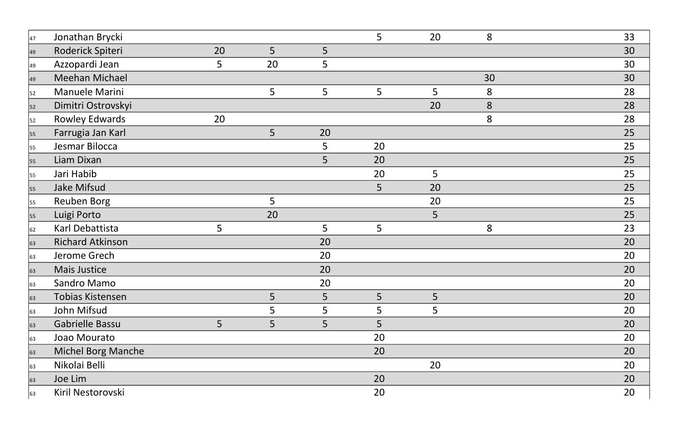| 47 | Jonathan Brycki           |    |    |                | 5  | 20             | 8  | 33 |
|----|---------------------------|----|----|----------------|----|----------------|----|----|
| 49 | Roderick Spiteri          | 20 | 5  | 5              |    |                |    | 30 |
| 49 | Azzopardi Jean            | 5  | 20 | 5              |    |                |    | 30 |
| 49 | <b>Meehan Michael</b>     |    |    |                |    |                | 30 | 30 |
| 52 | Manuele Marini            |    | 5  | 5 <sup>5</sup> | 5  | 5              | 8  | 28 |
| 52 | Dimitri Ostrovskyi        |    |    |                |    | 20             | 8  | 28 |
| 52 | <b>Rowley Edwards</b>     | 20 |    |                |    |                | 8  | 28 |
| 55 | Farrugia Jan Karl         |    | 5  | 20             |    |                |    | 25 |
| 55 | Jesmar Bilocca            |    |    | 5              | 20 |                |    | 25 |
| 55 | Liam Dixan                |    |    | 5              | 20 |                |    | 25 |
| 55 | Jari Habib                |    |    |                | 20 | 5 <sup>1</sup> |    | 25 |
| 55 | <b>Jake Mifsud</b>        |    |    |                | 5  | 20             |    | 25 |
| 55 | <b>Reuben Borg</b>        |    | 5  |                |    | 20             |    | 25 |
| 55 | Luigi Porto               |    | 20 |                |    | 5              |    | 25 |
| 62 | Karl Debattista           | 5  |    | 5 <sup>5</sup> | 5  |                | 8  | 23 |
| 63 | <b>Richard Atkinson</b>   |    |    | 20             |    |                |    | 20 |
| 63 | Jerome Grech              |    |    | 20             |    |                |    | 20 |
| 63 | <b>Mais Justice</b>       |    |    | 20             |    |                |    | 20 |
| 63 | <b>Sandro Mamo</b>        |    |    | 20             |    |                |    | 20 |
| 63 | <b>Tobias Kistensen</b>   |    | 5  | 5 <sup>1</sup> | 5  | 5              |    | 20 |
| 63 | John Mifsud               |    | 5  | 5 <sup>1</sup> | 5  | 5              |    | 20 |
| 63 | Gabrielle Bassu           | 5  | 5  | 5 <sub>1</sub> | 5  |                |    | 20 |
| 63 | Joao Mourato              |    |    |                | 20 |                |    | 20 |
| 63 | <b>Michel Borg Manche</b> |    |    |                | 20 |                |    | 20 |
| 63 | Nikolai Belli             |    |    |                |    | 20             |    | 20 |
| 63 | Joe Lim                   |    |    |                | 20 |                |    | 20 |
| 63 | Kiril Nestorovski         |    |    |                | 20 |                |    | 20 |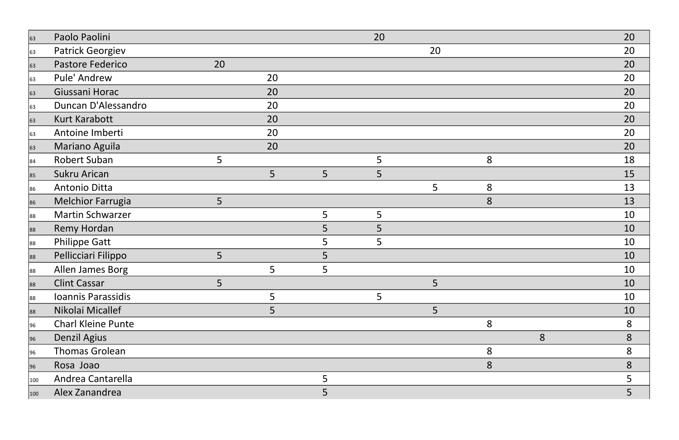| 63            | Paolo Paolini             |    |    |                | 20 |                |   |   | 20 |
|---------------|---------------------------|----|----|----------------|----|----------------|---|---|----|
| 63            | <b>Patrick Georgiev</b>   |    |    |                |    | 20             |   |   | 20 |
| 63            | Pastore Federico          | 20 |    |                |    |                |   |   | 20 |
| 63            | Pule' Andrew              |    | 20 |                |    |                |   |   | 20 |
| 63            | Giussani Horac            |    | 20 |                |    |                |   |   | 20 |
| 63            | Duncan D'Alessandro       |    | 20 |                |    |                |   |   | 20 |
| 63            | <b>Kurt Karabott</b>      |    | 20 |                |    |                |   |   | 20 |
| 63            | Antoine Imberti           |    | 20 |                |    |                |   |   | 20 |
| 63            | Mariano Aguila            |    | 20 |                |    |                |   |   | 20 |
| 84            | <b>Robert Suban</b>       | 5  |    |                | 5  |                | 8 |   | 18 |
| 85            | <b>Sukru Arican</b>       |    | 5  | 5              | 5  |                |   |   | 15 |
| 86            | <b>Antonio Ditta</b>      |    |    |                |    | 5 <sup>1</sup> | 8 |   | 13 |
| 86            | <b>Melchior Farrugia</b>  | 5  |    |                |    |                | 8 |   | 13 |
| 88            | <b>Martin Schwarzer</b>   |    |    | 5 <sup>1</sup> | 5  |                |   |   | 10 |
| 88            | <b>Remy Hordan</b>        |    |    | 5              | 5  |                |   |   | 10 |
| 88            | <b>Philippe Gatt</b>      |    |    | 5              | 5  |                |   |   | 10 |
| 88            | Pellicciari Filippo       | 5  |    | 5              |    |                |   |   | 10 |
| 88            | Allen James Borg          |    | 5  | 5              |    |                |   |   | 10 |
| 88            | <b>Clint Cassar</b>       | 5  |    |                |    | 5              |   |   | 10 |
| 88            | Ioannis Parassidis        |    | 5  |                | 5  |                |   |   | 10 |
| 88            | Nikolai Micallef          |    | 5  |                |    | 5              |   |   | 10 |
| 96            | <b>Charl Kleine Punte</b> |    |    |                |    |                | 8 |   | 8  |
| 96            | <b>Denzil Agius</b>       |    |    |                |    |                |   | 8 | 8  |
| 96            | <b>Thomas Grolean</b>     |    |    |                |    |                | 8 |   | 8  |
| 96            | Rosa Joao                 |    |    |                |    |                | 8 |   | 8  |
| $ 100\rangle$ | Andrea Cantarella         |    |    | 5              |    |                |   |   | 5  |
| 100           | Alex Zanandrea            |    |    | 5 <sup>1</sup> |    |                |   |   | 5  |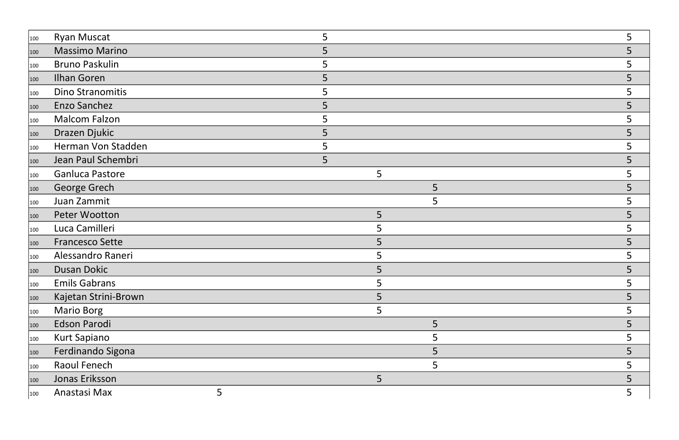| 100 | <b>Ryan Muscat</b>      |    |   |    |    |
|-----|-------------------------|----|---|----|----|
| 100 | Massimo Marino          |    |   |    |    |
| 100 | <b>Bruno Paskulin</b>   |    |   |    |    |
| 100 | <b>Ilhan Goren</b>      |    |   |    |    |
| 100 | <b>Dino Stranomitis</b> |    |   |    |    |
| 100 | Enzo Sanchez            | 5  |   |    |    |
| 100 | <b>Malcom Falzon</b>    | 5. |   |    | 5  |
| 100 | Drazen Djukic           | 5  |   |    | 5  |
| 100 | Herman Von Stadden      |    |   |    |    |
| 100 | Jean Paul Schembri      | 5  |   |    |    |
| 100 | Ganluca Pastore         |    | 5 |    |    |
| 100 | George Grech            |    |   | 5  |    |
| 100 | Juan Zammit             |    |   | 5. |    |
| 100 | Peter Wootton           |    | 5 |    |    |
| 100 | Luca Camilleri          |    |   |    |    |
| 100 | <b>Francesco Sette</b>  |    |   |    |    |
| 100 | Alessandro Raneri       |    |   |    |    |
| 100 | <b>Dusan Dokic</b>      |    |   |    |    |
| 100 | <b>Emils Gabrans</b>    |    |   |    |    |
| 100 | Kajetan Strini-Brown    |    |   |    |    |
| 100 | <b>Mario Borg</b>       |    | 5 |    |    |
| 100 | Edson Parodi            |    |   | 5  | 5  |
| 100 | <b>Kurt Sapiano</b>     |    |   | 5. | 5. |
| 100 | Ferdinando Sigona       |    |   | 5  |    |
| 100 | Raoul Fenech            |    |   | 5. |    |
| 100 | Jonas Eriksson          |    | 5 |    | 5  |
| 100 | Anastasi Max<br>5       |    |   |    | 5  |